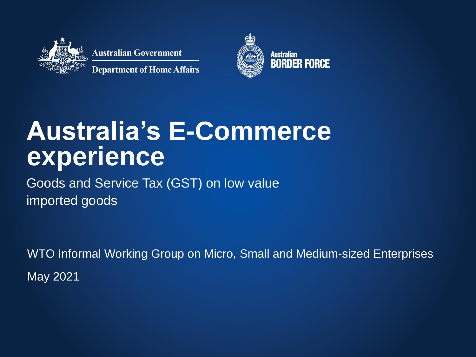

**Australian Government** 

**Department of Home Affairs** 



### **Australia's E-Commerce experience**

Goods and Service Tax (GST) on low value imported goods

WTO Informal Working Group on Micro, Small and Medium-sized Enterprises May 2021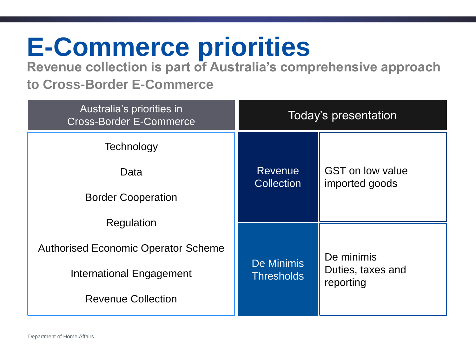### **E-Commerce priorities**

**Revenue collection is part of Australia's comprehensive approach to Cross-Border E-Commerce**

| Australia's priorities in<br><b>Cross-Border E-Commerce</b>                                                       | Today's presentation                   |                                              |  |
|-------------------------------------------------------------------------------------------------------------------|----------------------------------------|----------------------------------------------|--|
| Technology<br>Data<br><b>Border Cooperation</b>                                                                   | <b>Revenue</b><br><b>Collection</b>    | <b>GST</b> on low value<br>imported goods    |  |
| Regulation<br><b>Authorised Economic Operator Scheme</b><br>International Engagement<br><b>Revenue Collection</b> | <b>De Minimis</b><br><b>Thresholds</b> | De minimis<br>Duties, taxes and<br>reporting |  |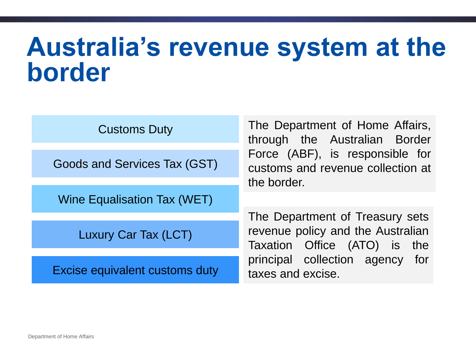### **Australia's revenue system at the border**

| <b>Customs Duty</b>            | The Department of Home Affairs,<br>through the Australian Border                                     |
|--------------------------------|------------------------------------------------------------------------------------------------------|
| Goods and Services Tax (GST)   | Force (ABF), is responsible for<br>customs and revenue collection at                                 |
| Wine Equalisation Tax (WET)    | the border.                                                                                          |
| <b>Luxury Car Tax (LCT)</b>    | The Department of Treasury sets<br>revenue policy and the Australian<br>Taxation Office (ATO) is the |
| Excise equivalent customs duty | principal collection agency for<br>taxes and excise.                                                 |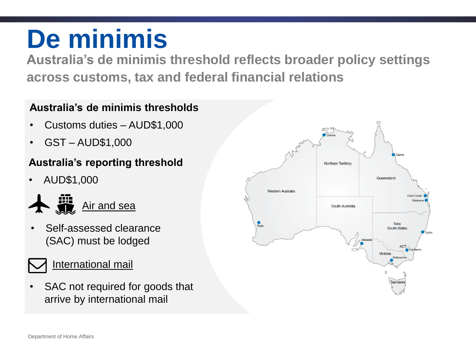### **De minimis**

**Australia's de minimis threshold reflects broader policy settings across customs, tax and federal financial relations**

#### **Australia's de minimis thresholds**

- Customs duties AUD\$1,000
- GST AUD\$1,000

#### **Australia's reporting threshold**

• AUD\$1,000



• Self-assessed clearance (SAC) must be lodged



SAC not required for goods that arrive by international mail

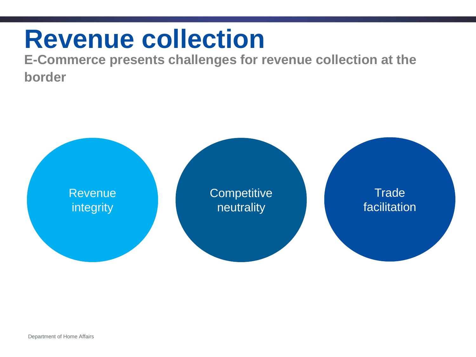### **Revenue collection**

**E-Commerce presents challenges for revenue collection at the border**

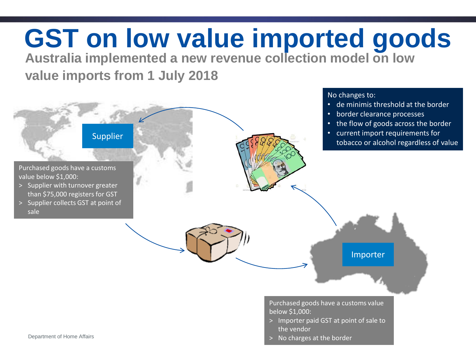# **GST on low value imported goods**

**Australia implemented a new revenue collection model on low** 

**value imports from 1 July 2018**

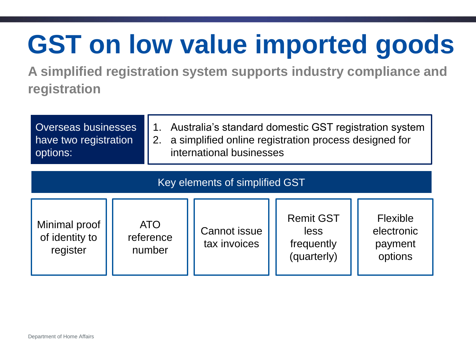## **GST on low value imported goods**

**A simplified registration system supports industry compliance and registration**

| Overseas businesses<br>have two registration<br>options: |  | Australia's standard domestic GST registration system<br>1.<br>a simplified online registration process designed for<br>2.<br>international businesses |                                     |                                                       |                                              |  |
|----------------------------------------------------------|--|--------------------------------------------------------------------------------------------------------------------------------------------------------|-------------------------------------|-------------------------------------------------------|----------------------------------------------|--|
| Key elements of simplified GST                           |  |                                                                                                                                                        |                                     |                                                       |                                              |  |
| Minimal proof<br>of identity to<br>register              |  | <b>ATO</b><br>reference<br>number                                                                                                                      | <b>Cannot issue</b><br>tax invoices | <b>Remit GST</b><br>less<br>frequently<br>(quarterly) | Flexible<br>electronic<br>payment<br>options |  |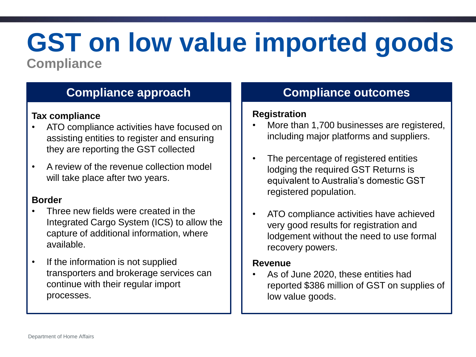### **GST on low value imported goods Compliance**

### **Compliance approach Compliance outcomes**

#### **Tax compliance**

- ATO compliance activities have focused on assisting entities to register and ensuring they are reporting the GST collected
- A review of the revenue collection model will take place after two years.

#### **Border**

- Three new fields were created in the Integrated Cargo System (ICS) to allow the capture of additional information, where available.
- If the information is not supplied transporters and brokerage services can continue with their regular import processes.

#### **Registration**

- More than 1,700 businesses are registered, including major platforms and suppliers.
- The percentage of registered entities lodging the required GST Returns is equivalent to Australia's domestic GST registered population.
- ATO compliance activities have achieved very good results for registration and lodgement without the need to use formal recovery powers.

#### **Revenue**

• As of June 2020, these entities had reported \$386 million of GST on supplies of low value goods.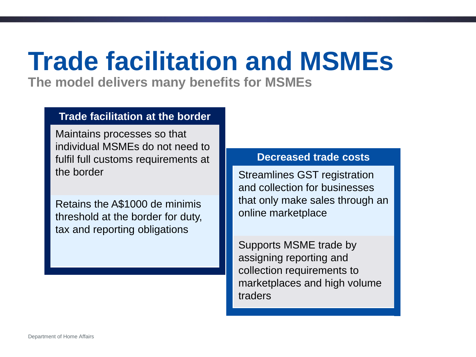### **Trade facilitation and MSMEs**

**The model delivers many benefits for MSMEs**

#### **Trade facilitation at the border**

Maintains processes so that individual MSMEs do not need to fulfil full customs requirements at the border

Retains the A\$1000 de minimis threshold at the border for duty, tax and reporting obligations

#### **Decreased trade costs**

Streamlines GST registration and collection for businesses that only make sales through an online marketplace

Supports MSME trade by assigning reporting and collection requirements to marketplaces and high volume traders